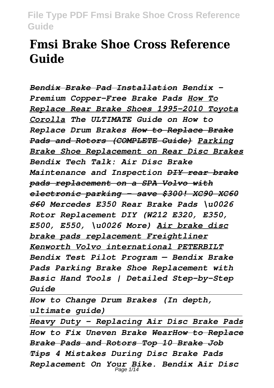# **Fmsi Brake Shoe Cross Reference Guide**

*Bendix Brake Pad Installation Bendix - Premium Copper-Free Brake Pads How To Replace Rear Brake Shoes 1995-2010 Toyota Corolla The ULTIMATE Guide on How to Replace Drum Brakes How to Replace Brake Pads and Rotors (COMPLETE Guide) Parking Brake Shoe Replacement on Rear Disc Brakes Bendix Tech Talk: Air Disc Brake Maintenance and Inspection DIY rear brake pads replacement on a SPA Volvo with electronic parking - save \$300! XC90 XC60 S60 Mercedes E350 Rear Brake Pads \u0026 Rotor Replacement DIY (W212 E320, E350, E500, E550, \u0026 More) Air brake disc brake pads replacement Freightliner Kenworth Volvo international PETERBILT Bendix Test Pilot Program — Bendix Brake Pads Parking Brake Shoe Replacement with Basic Hand Tools | Detailed Step-by-Step Guide* 

*How to Change Drum Brakes (In depth, ultimate guide)*

*Heavy Duty - Replacing Air Disc Brake Pads How to Fix Uneven Brake WearHow to Replace Brake Pads and Rotors Top 10 Brake Job Tips 4 Mistakes During Disc Brake Pads Replacement On Your Bike. Bendix Air Disc* Page 1/14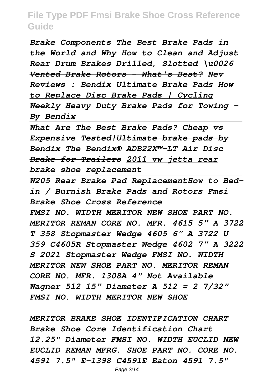*Brake Components The Best Brake Pads in the World and Why How to Clean and Adjust Rear Drum Brakes Drilled, Slotted \u0026 Vented Brake Rotors - What's Best? Nev Reviews : Bendix Ultimate Brake Pads How to Replace Disc Brake Pads | Cycling Weekly Heavy Duty Brake Pads for Towing - By Bendix*

*What Are The Best Brake Pads? Cheap vs Expensive Tested!Ultimate brake pads by Bendix The Bendix® ADB22X™-LT Air Disc Brake for Trailers 2011 vw jetta rear brake shoe replacement*

*W205 Rear Brake Pad ReplacementHow to Bedin / Burnish Brake Pads and Rotors Fmsi Brake Shoe Cross Reference FMSI NO. WIDTH MERITOR NEW SHOE PART NO. MERITOR REMAN CORE NO. MFR. 4615 5" A 3722 T 358 Stopmaster Wedge 4605 6" A 3722 U 359 C4605R Stopmaster Wedge 4602 7" A 3222 S 2021 Stopmaster Wedge FMSI NO. WIDTH MERITOR NEW SHOE PART NO. MERITOR REMAN CORE NO. MFR. 1308A 4" Not Available Wagner 512 15" Diameter A 512 = 2 7/32" FMSI NO. WIDTH MERITOR NEW SHOE*

*MERITOR BRAKE SHOE IDENTIFICATION CHART Brake Shoe Core Identification Chart 12.25" Diameter FMSI NO. WIDTH EUCLID NEW EUCLID REMAN MFRG. SHOE PART NO. CORE NO. 4591 7.5" E-1398 C4591E Eaton 4591 7.5"*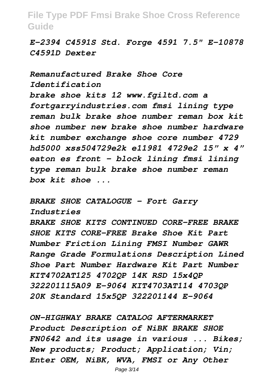*E-2394 C4591S Std. Forge 4591 7.5" E-10878 C4591D Dexter*

*Remanufactured Brake Shoe Core Identification brake shoe kits 12 www.fgiltd.com a fortgarryindustries.com fmsi lining type reman bulk brake shoe number reman box kit shoe number new brake shoe number hardware kit number exchange shoe core number 4729 hd5000 xss504729e2k e11981 4729e2 15" x 4" eaton es front - block lining fmsi lining type reman bulk brake shoe number reman box kit shoe ...*

*BRAKE SHOE CATALOGUE - Fort Garry Industries BRAKE SHOE KITS CONTINUED CORE-FREE BRAKE SHOE KITS CORE-FREE Brake Shoe Kit Part Number Friction Lining FMSI Number GAWR Range Grade Formulations Description Lined Shoe Part Number Hardware Kit Part Number KIT4702AT125 4702QP 14K RSD 15x4QP 322201115A09 E-9064 KIT4703AT114 4703QP 20K Standard 15x5QP 322201144 E-9064*

*ON-HIGHWAY BRAKE CATALOG AFTERMARKET Product Description of NiBK BRAKE SHOE FN0642 and its usage in various ... Bikes; New products; Product; Application; Vin; Enter OEM, NiBK, WVA, FMSI or Any Other*

Page 3/14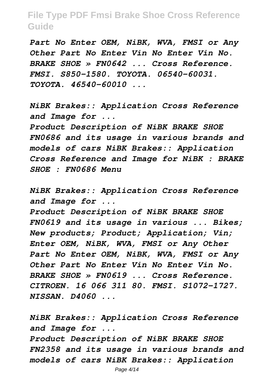*Part No Enter OEM, NiBK, WVA, FMSI or Any Other Part No Enter Vin No Enter Vin No. BRAKE SHOE » FN0642 ... Cross Reference. FMSI. S850-1580. TOYOTA. 06540-60031. TOYOTA. 46540-60010 ...*

*NiBK Brakes:: Application Cross Reference and Image for ...*

*Product Description of NiBK BRAKE SHOE FN0686 and its usage in various brands and models of cars NiBK Brakes:: Application Cross Reference and Image for NiBK : BRAKE SHOE : FN0686 Menu*

*NiBK Brakes:: Application Cross Reference and Image for ...*

*Product Description of NiBK BRAKE SHOE FN0619 and its usage in various ... Bikes; New products; Product; Application; Vin; Enter OEM, NiBK, WVA, FMSI or Any Other Part No Enter OEM, NiBK, WVA, FMSI or Any Other Part No Enter Vin No Enter Vin No. BRAKE SHOE » FN0619 ... Cross Reference. CITROEN. 16 066 311 80. FMSI. S1072-1727. NISSAN. D4060 ...*

*NiBK Brakes:: Application Cross Reference and Image for ...*

*Product Description of NiBK BRAKE SHOE FN2358 and its usage in various brands and models of cars NiBK Brakes:: Application*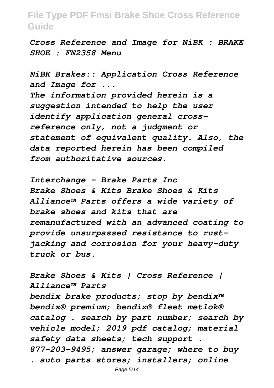*Cross Reference and Image for NiBK : BRAKE SHOE : FN2358 Menu*

*NiBK Brakes:: Application Cross Reference and Image for ...*

*The information provided herein is a suggestion intended to help the user identify application general crossreference only, not a judgment or statement of equivalent quality. Also, the data reported herein has been compiled from authoritative sources.*

*Interchange - Brake Parts Inc Brake Shoes & Kits Brake Shoes & Kits Alliance™ Parts offers a wide variety of brake shoes and kits that are remanufactured with an advanced coating to provide unsurpassed resistance to rustjacking and corrosion for your heavy-duty truck or bus.*

*Brake Shoes & Kits | Cross Reference | Alliance™ Parts bendix brake products; stop by bendix™ bendix® premium; bendix® fleet metlok® catalog . search by part number; search by vehicle model; 2019 pdf catalog; material safety data sheets; tech support . 877-203-9495; answer garage; where to buy . auto parts stores; installers; online*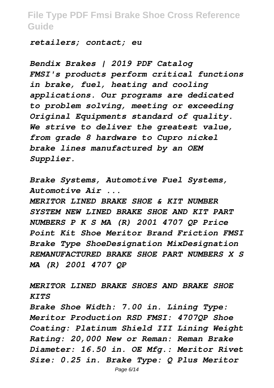*retailers; contact; eu*

*Bendix Brakes | 2019 PDF Catalog FMSI's products perform critical functions in brake, fuel, heating and cooling applications. Our programs are dedicated to problem solving, meeting or exceeding Original Equipments standard of quality. We strive to deliver the greatest value, from grade 8 hardware to Cupro nickel brake lines manufactured by an OEM Supplier.*

*Brake Systems, Automotive Fuel Systems, Automotive Air ...*

*MERITOR LINED BRAKE SHOE & KIT NUMBER SYSTEM NEW LINED BRAKE SHOE AND KIT PART NUMBERS P K S MA (R) 2001 4707 QP Price Point Kit Shoe Meritor Brand Friction FMSI Brake Type ShoeDesignation MixDesignation REMANUFACTURED BRAKE SHOE PART NUMBERS X S MA (R) 2001 4707 QP*

*MERITOR LINED BRAKE SHOES AND BRAKE SHOE KITS*

*Brake Shoe Width: 7.00 in. Lining Type: Meritor Production RSD FMSI: 4707QP Shoe Coating: Platinum Shield III Lining Weight Rating: 20,000 New or Reman: Reman Brake Diameter: 16.50 in. OE Mfg.: Meritor Rivet Size: 0.25 in. Brake Type: Q Plus Meritor*

Page 6/14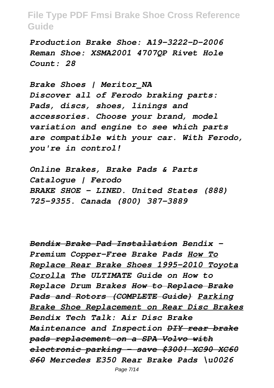*Production Brake Shoe: A19-3222-D-2006 Reman Shoe: XSMA2001 4707QP Rivet Hole Count: 28*

*Brake Shoes | Meritor\_NA Discover all of Ferodo braking parts: Pads, discs, shoes, linings and accessories. Choose your brand, model variation and engine to see which parts are compatible with your car. With Ferodo, you're in control!*

*Online Brakes, Brake Pads & Parts Catalogue | Ferodo BRAKE SHOE - LINED. United States (888) 725-9355. Canada (800) 387-3889*

*Bendix Brake Pad Installation Bendix - Premium Copper-Free Brake Pads How To Replace Rear Brake Shoes 1995-2010 Toyota Corolla The ULTIMATE Guide on How to Replace Drum Brakes How to Replace Brake Pads and Rotors (COMPLETE Guide) Parking Brake Shoe Replacement on Rear Disc Brakes Bendix Tech Talk: Air Disc Brake Maintenance and Inspection DIY rear brake pads replacement on a SPA Volvo with electronic parking - save \$300! XC90 XC60 S60 Mercedes E350 Rear Brake Pads \u0026*

Page 7/14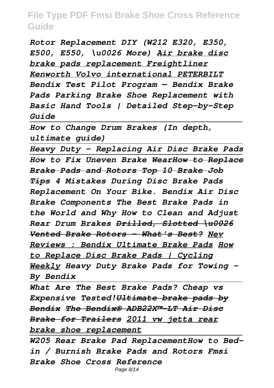*Rotor Replacement DIY (W212 E320, E350, E500, E550, \u0026 More) Air brake disc brake pads replacement Freightliner Kenworth Volvo international PETERBILT Bendix Test Pilot Program — Bendix Brake Pads Parking Brake Shoe Replacement with Basic Hand Tools | Detailed Step-by-Step Guide* 

*How to Change Drum Brakes (In depth, ultimate guide)*

*Heavy Duty - Replacing Air Disc Brake Pads How to Fix Uneven Brake WearHow to Replace Brake Pads and Rotors Top 10 Brake Job Tips 4 Mistakes During Disc Brake Pads Replacement On Your Bike. Bendix Air Disc Brake Components The Best Brake Pads in the World and Why How to Clean and Adjust Rear Drum Brakes Drilled, Slotted \u0026 Vented Brake Rotors - What's Best? Nev Reviews : Bendix Ultimate Brake Pads How to Replace Disc Brake Pads | Cycling Weekly Heavy Duty Brake Pads for Towing - By Bendix*

*What Are The Best Brake Pads? Cheap vs Expensive Tested!Ultimate brake pads by Bendix The Bendix® ADB22X™-LT Air Disc Brake for Trailers 2011 vw jetta rear brake shoe replacement*

*W205 Rear Brake Pad ReplacementHow to Bedin / Burnish Brake Pads and Rotors Fmsi Brake Shoe Cross Reference* Page 8/14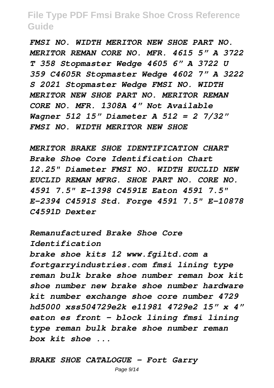*FMSI NO. WIDTH MERITOR NEW SHOE PART NO. MERITOR REMAN CORE NO. MFR. 4615 5" A 3722 T 358 Stopmaster Wedge 4605 6" A 3722 U 359 C4605R Stopmaster Wedge 4602 7" A 3222 S 2021 Stopmaster Wedge FMSI NO. WIDTH MERITOR NEW SHOE PART NO. MERITOR REMAN CORE NO. MFR. 1308A 4" Not Available Wagner 512 15" Diameter A 512 = 2 7/32" FMSI NO. WIDTH MERITOR NEW SHOE*

*MERITOR BRAKE SHOE IDENTIFICATION CHART Brake Shoe Core Identification Chart 12.25" Diameter FMSI NO. WIDTH EUCLID NEW EUCLID REMAN MFRG. SHOE PART NO. CORE NO. 4591 7.5" E-1398 C4591E Eaton 4591 7.5" E-2394 C4591S Std. Forge 4591 7.5" E-10878 C4591D Dexter*

*Remanufactured Brake Shoe Core Identification brake shoe kits 12 www.fgiltd.com a fortgarryindustries.com fmsi lining type reman bulk brake shoe number reman box kit shoe number new brake shoe number hardware kit number exchange shoe core number 4729 hd5000 xss504729e2k e11981 4729e2 15" x 4" eaton es front - block lining fmsi lining type reman bulk brake shoe number reman box kit shoe ...*

*BRAKE SHOE CATALOGUE - Fort Garry*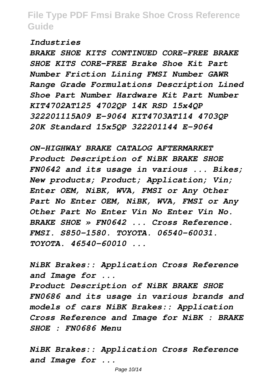#### *Industries*

*BRAKE SHOE KITS CONTINUED CORE-FREE BRAKE SHOE KITS CORE-FREE Brake Shoe Kit Part Number Friction Lining FMSI Number GAWR Range Grade Formulations Description Lined Shoe Part Number Hardware Kit Part Number KIT4702AT125 4702QP 14K RSD 15x4QP 322201115A09 E-9064 KIT4703AT114 4703QP 20K Standard 15x5QP 322201144 E-9064*

*ON-HIGHWAY BRAKE CATALOG AFTERMARKET Product Description of NiBK BRAKE SHOE FN0642 and its usage in various ... Bikes; New products; Product; Application; Vin; Enter OEM, NiBK, WVA, FMSI or Any Other Part No Enter OEM, NiBK, WVA, FMSI or Any Other Part No Enter Vin No Enter Vin No. BRAKE SHOE » FN0642 ... Cross Reference. FMSI. S850-1580. TOYOTA. 06540-60031. TOYOTA. 46540-60010 ...*

*NiBK Brakes:: Application Cross Reference and Image for ...*

*Product Description of NiBK BRAKE SHOE FN0686 and its usage in various brands and models of cars NiBK Brakes:: Application Cross Reference and Image for NiBK : BRAKE SHOE : FN0686 Menu*

*NiBK Brakes:: Application Cross Reference and Image for ...*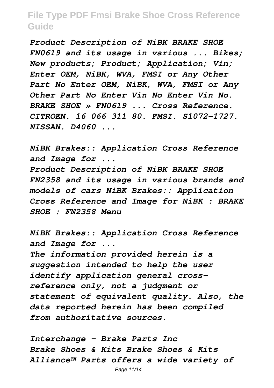*Product Description of NiBK BRAKE SHOE FN0619 and its usage in various ... Bikes; New products; Product; Application; Vin; Enter OEM, NiBK, WVA, FMSI or Any Other Part No Enter OEM, NiBK, WVA, FMSI or Any Other Part No Enter Vin No Enter Vin No. BRAKE SHOE » FN0619 ... Cross Reference. CITROEN. 16 066 311 80. FMSI. S1072-1727. NISSAN. D4060 ...*

*NiBK Brakes:: Application Cross Reference and Image for ...*

*Product Description of NiBK BRAKE SHOE FN2358 and its usage in various brands and models of cars NiBK Brakes:: Application Cross Reference and Image for NiBK : BRAKE SHOE : FN2358 Menu*

*NiBK Brakes:: Application Cross Reference and Image for ...*

*The information provided herein is a suggestion intended to help the user identify application general crossreference only, not a judgment or statement of equivalent quality. Also, the data reported herein has been compiled from authoritative sources.*

*Interchange - Brake Parts Inc Brake Shoes & Kits Brake Shoes & Kits Alliance™ Parts offers a wide variety of*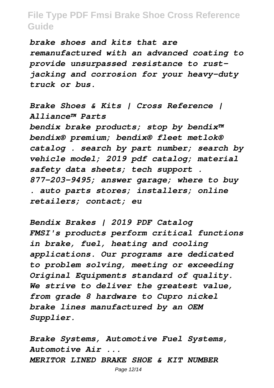*brake shoes and kits that are remanufactured with an advanced coating to provide unsurpassed resistance to rustjacking and corrosion for your heavy-duty truck or bus.*

*Brake Shoes & Kits | Cross Reference | Alliance™ Parts bendix brake products; stop by bendix™ bendix® premium; bendix® fleet metlok® catalog . search by part number; search by vehicle model; 2019 pdf catalog; material safety data sheets; tech support . 877-203-9495; answer garage; where to buy . auto parts stores; installers; online retailers; contact; eu*

*Bendix Brakes | 2019 PDF Catalog FMSI's products perform critical functions in brake, fuel, heating and cooling applications. Our programs are dedicated to problem solving, meeting or exceeding Original Equipments standard of quality. We strive to deliver the greatest value, from grade 8 hardware to Cupro nickel brake lines manufactured by an OEM Supplier.*

*Brake Systems, Automotive Fuel Systems, Automotive Air ... MERITOR LINED BRAKE SHOE & KIT NUMBER*